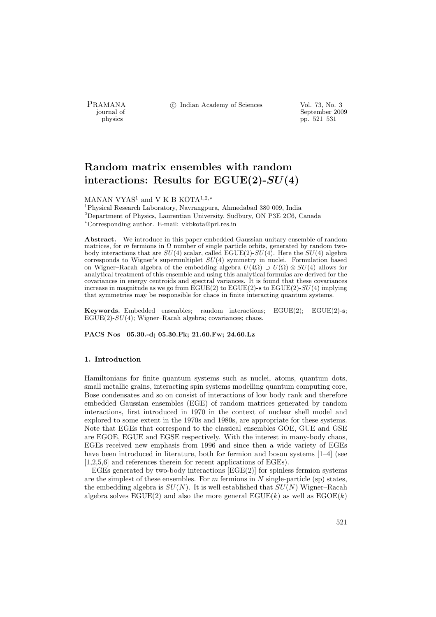PRAMANA <sup>C</sup> Indian Academy of Sciences Vol. 73, No. 3<br>
— iournal of September 200

ournal of September 2009<br>
physics pp. 521–531 pp. 521–531

# Random matrix ensembles with random interactions: Results for  $EGUE(2)-SU(4)$

MANAN VYAS<sup>1</sup> and V K B KOTA<sup>1,2,∗</sup>

<sup>1</sup>Physical Research Laboratory, Navrangpura, Ahmedabad 380 009, India  $2$ Department of Physics, Laurentian University, Sudbury, ON P3E 2C6, Canada <sup>∗</sup>Corresponding author. E-mail: vkbkota@prl.res.in

Abstract. We introduce in this paper embedded Gaussian unitary ensemble of random matrices, for m fermions in  $\Omega$  number of single particle orbits, generated by random twobody interactions that are  $SU(4)$  scalar, called EGUE(2)- $SU(4)$ . Here the  $SU(4)$  algebra corresponds to Wigner's supermultiplet  $SU(4)$  symmetry in nuclei. Formulation based on Wigner–Racah algebra of the embedding algebra  $U(4\Omega) \supset U(\Omega) \otimes SU(4)$  allows for analytical treatment of this ensemble and using this analytical formulas are derived for the covariances in energy centroids and spectral variances. It is found that these covariances increase in magnitude as we go from  $EGUE(2)$  to  $EGUE(2)$ -s to  $EGUE(2)$ - $SU(4)$  implying that symmetries may be responsible for chaos in finite interacting quantum systems.

Keywords. Embedded ensembles; random interactions; EGUE(2); EGUE(2)-s;  $EGUE(2)-SU(4)$ ; Wigner–Racah algebra; covariances; chaos.

PACS Nos 05.30.-d; 05.30.Fk; 21.60.Fw; 24.60.Lz

## 1. Introduction

Hamiltonians for finite quantum systems such as nuclei, atoms, quantum dots, small metallic grains, interacting spin systems modelling quantum computing core, Bose condensates and so on consist of interactions of low body rank and therefore embedded Gaussian ensembles (EGE) of random matrices generated by random interactions, first introduced in 1970 in the context of nuclear shell model and explored to some extent in the 1970s and 1980s, are appropriate for these systems. Note that EGEs that correspond to the classical ensembles GOE, GUE and GSE are EGOE, EGUE and EGSE respectively. With the interest in many-body chaos, EGEs received new emphasis from 1996 and since then a wide variety of EGEs have been introduced in literature, both for fermion and boson systems [1–4] (see [1,2,5,6] and references therein for recent applications of EGEs).

EGEs generated by two-body interactions  $[EGE(2)]$  for spinless fermion systems are the simplest of these ensembles. For  $m$  fermions in  $N$  single-particle (sp) states, the embedding algebra is  $SU(N)$ . It is well established that  $SU(N)$  Wigner–Racah algebra solves  $EGUE(2)$  and also the more general  $EGUE(k)$  as well as  $EGOE(k)$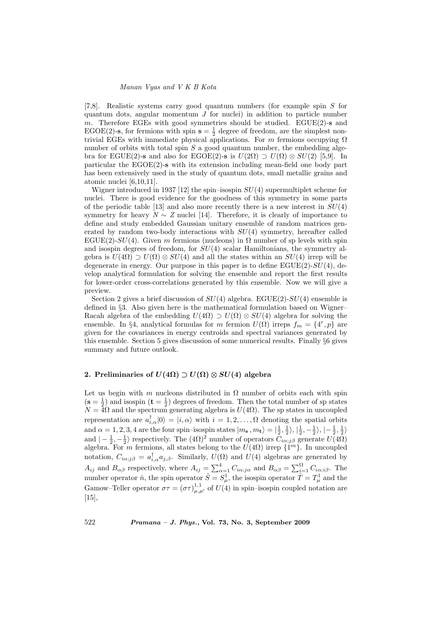[7,8]. Realistic systems carry good quantum numbers (for example spin S for quantum dots, angular momentum  $J$  for nuclei) in addition to particle number m. Therefore EGEs with good symmetries should be studied. EGUE(2)-s and EGOE(2)-s, for fermions with spin  $s = \frac{1}{2}$  degree of freedom, are the simplest nontrivial EGEs with immediate physical applications. For m fermions occupying  $\Omega$ number of orbits with total spin  $S$  a good quantum number, the embedding algebra for EGUE(2)-s and also for EGOE(2)-s is  $U(2\Omega) \supset U(\Omega) \otimes SU(2)$  [5,9]. In particular the EGOE(2)-s with its extension including mean-field one body part has been extensively used in the study of quantum dots, small metallic grains and atomic nuclei [6,10,11].

Wigner introduced in 1937 [12] the spin–isospin  $SU(4)$  supermultiplet scheme for nuclei. There is good evidence for the goodness of this symmetry in some parts of the periodic table [13] and also more recently there is a new interest in  $SU(4)$ symmetry for heavy  $N \sim Z$  nuclei [14]. Therefore, it is clearly of importance to define and study embedded Gaussian unitary ensemble of random matrices generated by random two-body interactions with  $SU(4)$  symmetry, hereafter called EGUE(2)-SU(4). Given m fermions (nucleons) in  $\Omega$  number of sp levels with spin and isospin degrees of freedom, for  $SU(4)$  scalar Hamiltonians, the symmetry algebra is  $U(4\Omega) \supset U(\Omega) \otimes SU(4)$  and all the states within an  $SU(4)$  irrep will be degenerate in energy. Our purpose in this paper is to define  $EGUE(2)-SU(4)$ , develop analytical formulation for solving the ensemble and report the first results for lower-order cross-correlations generated by this ensemble. Now we will give a preview.

Section 2 gives a brief discussion of  $SU(4)$  algebra. EGUE(2)- $SU(4)$  ensemble is defined in §3. Also given here is the mathematical formulation based on Wigner– Racah algebra of the embedding  $U(4\Omega) \supset U(\Omega) \otimes SU(4)$  algebra for solving the ensemble. In §4, analytical formulas for m fermion  $U(\Omega)$  irreps  $f_m = \{4^r, p\}$  are given for the covariances in energy centroids and spectral variances generated by this ensemble. Section 5 gives discussion of some numerical results. Finally §6 gives summary and future outlook.

# 2. Preliminaries of  $U(4\Omega) \supset U(\Omega) \otimes SU(4)$  algebra

Let us begin with m nucleons distributed in  $\Omega$  number of orbits each with spin  $(s = \frac{1}{2})$  and isospin  $(t = \frac{1}{2})$  degrees of freedom. Then the total number of sp states  $N = 4\Omega$  and the spectrum generating algebra is  $U(4\Omega)$ . The sp states in uncoupled representation are  $a_{i,\alpha}^{\dagger}|0\rangle = |i,\alpha\rangle$  with  $i = 1,2,\ldots,\Omega$  denoting the spatial orbits and  $\alpha = 1, 2, 3, 4$  are the four spin–isospin states  $|m_{s}, m_{t}\rangle = |\frac{1}{2}, \frac{1}{2}\rangle, |\frac{1}{2}, -\frac{1}{2}\rangle, |-\frac{1}{2}, \frac{1}{2}\rangle$ and  $\left(-\frac{1}{2},-\frac{1}{2}\right)$  respectively. The  $(4\Omega)^2$  number of operators  $C_{i\alpha;j\beta}$  generate  $U(4\Omega)$ algebra. For m fermions, all states belong to the  $U(4\Omega)$  irrep  $\{1^m\}$ . In uncoupled notation,  $C_{i\alpha;j\beta} = a_{i,\alpha}^{\dagger}a_{j,\beta}$ . Similarly,  $U(\Omega)$  and  $U(4)$  algebras are generated by A<sub>ij</sub> and  $B_{\alpha\beta}$  respectively, where  $A_{ij} = \sum_{\alpha=1}^{4} C_{i\alpha;j\alpha}$  and  $B_{\alpha\beta} = \sum_{i=1}^{10} C_{i\alpha;i\beta}$ . The number operator  $\hat{n}$ , the spin operator  $\hat{S} = S_{\mu}^1$ , the isospin operator  $\hat{T} = T_{\mu}^1$  and the Gamow–Teller operator  $\sigma\tau = (\sigma\tau)_{\mu,\mu'}^{1,1}$  of  $U(4)$  in spin–isospin coupled notation are [15],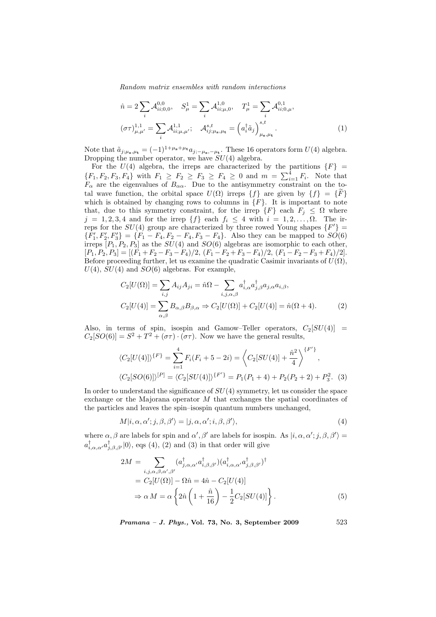$$
\hat{n} = 2 \sum_{i} \mathcal{A}_{ii;0,0}^{0,0}, \quad S_{\mu}^{1} = \sum_{i} \mathcal{A}_{ii;\mu,0}^{1,0}, \quad T_{\mu}^{1} = \sum_{i} \mathcal{A}_{ii;0,\mu}^{0,1}, \n(\sigma \tau)_{\mu,\mu'}^{1,1} = \sum_{i} \mathcal{A}_{ii;\mu,\mu'}^{1,1}, \quad \mathcal{A}_{ij;\mu_{s},\mu_{t}}^{s,t} = (\alpha_{i}^{\dagger} \tilde{a}_{j})_{\mu_{s},\mu_{t}}^{s,t}.
$$
\n(1)

Note that  $\tilde{a}_{j;\mu_{s},\mu_{t}} = (-1)^{1+\mu_{s}+\mu_{t}} a_{j;-\mu_{s},-\mu_{t}}$ . These 16 operators form  $U(4)$  algebra. Dropping the number operator, we have  $SU(4)$  algebra.

For the  $U(4)$  algebra, the irreps are characterized by the partitions  ${F}$  = For the  $U(4)$  algebra, the fireps are characterized by the partitions  $\{Yf - \{F_1, F_2, F_3, F_4\}$  with  $F_1 \ge F_2 \ge F_3 \ge F_4 \ge 0$  and  $m = \sum_{i=1}^4 F_i$ . Note that  $F_{\alpha}$  are the eigenvalues of  $B_{\alpha\alpha}$ . Due to the antisymmetry constraint on the total wave function, the orbital space  $U(\Omega)$  irreps  $\{f\}$  are given by  $\{f\} = \{\tilde{F}\}$ which is obtained by changing rows to columns in  ${F}$ . It is important to note that, due to this symmetry constraint, for the irrep  ${F}$  each  $F_j \leq \Omega$  where  $j = 1, 2, 3, 4$  and for the irrep  $\{f\}$  each  $f_i \leq 4$  with  $i = 1, 2, \ldots, \Omega$ . The irreps for the  $SU(4)$  group are characterized by three rowed Young shapes  $\{F'\}$  ${F'_1, F'_2, F'_3} = {F_1 - F_4, F_2 - F_4, F_3 - F_4}.$  Also they can be mapped to  $SO(6)$ irreps  $[P_1, P_2, P_3]$  as the  $SU(4)$  and  $SO(6)$  algebras are isomorphic to each other,  $[P_1, P_2, P_3] = [(F_1 + F_2 - F_3 - F_4)/2, (F_1 - F_2 + F_3 - F_4)/2, (F_1 - F_2 - F_3 + F_4)/2].$ Before proceeding further, let us examine the quadratic Casimir invariants of  $U(\Omega)$ ,  $U(4)$ ,  $SU(4)$  and  $SO(6)$  algebras. For example,

$$
C_2[U(\Omega)] = \sum_{i,j} A_{ij} A_{ji} = \hat{n}\Omega - \sum_{i,j,\alpha,\beta} a_{i,\alpha}^{\dagger} a_{j,\beta}^{\dagger} a_{j,\alpha} a_{i,\beta},
$$
  
\n
$$
C_2[U(4)] = \sum_{\alpha,\beta} B_{\alpha,\beta} B_{\beta,\alpha} \Rightarrow C_2[U(\Omega)] + C_2[U(4)] = \hat{n}(\Omega + 4).
$$
 (2)

Also, in terms of spin, isospin and Gamow–Teller operators,  $C_2[SU(4)] =$  $C_2[SO(6)] = S^2 + T^2 + (\sigma \tau) \cdot (\sigma \tau)$ . Now we have the general results,

$$
\langle C_2[U(4)]\rangle^{\{F\}} = \sum_{i=1}^4 F_i(F_i + 5 - 2i) = \left\langle C_2[SU(4)] + \frac{\hat{n}^2}{4} \right\rangle^{\{F'\}},
$$
  

$$
\langle C_2[SO(6)]\rangle^{[P]} = \langle C_2[SU(4)]\rangle^{\{F'\}} = P_1(P_1 + 4) + P_2(P_2 + 2) + P_3^2.
$$
 (3)

In order to understand the significance of  $SU(4)$  symmetry, let us consider the space exchange or the Majorana operator  $M$  that exchanges the spatial coordinates of the particles and leaves the spin–isospin quantum numbers unchanged,

$$
M|i, \alpha, \alpha'; j, \beta, \beta'\rangle = |j, \alpha, \alpha'; i, \beta, \beta'\rangle,
$$
\n(4)

where  $\alpha, \beta$  are labels for spin and  $\alpha', \beta'$  are labels for isospin. As  $|i, \alpha, \alpha'; j, \beta, \beta'\rangle =$  $a^{\dagger}_{i,\alpha,\alpha'}a^{\dagger}_{j,\beta,\beta'}|0\rangle$ , eqs (4), (2) and (3) in that order will give

$$
2M = \sum_{i,j,\alpha,\beta,\alpha',\beta'} (a_{j,\alpha,\alpha'}^{\dagger} a_{i,\beta,\beta'}^{\dagger}) (a_{i,\alpha,\alpha'}^{\dagger} a_{j,\beta,\beta'}^{\dagger})^{\dagger}
$$
  
=  $C_2[U(\Omega)] - \Omega \hat{n} = 4\hat{n} - C_2[U(4)]$   

$$
\Rightarrow \alpha M = \alpha \left\{ 2\hat{n} \left( 1 + \frac{\hat{n}}{16} \right) - \frac{1}{2} C_2[SU(4)] \right\}.
$$
 (5)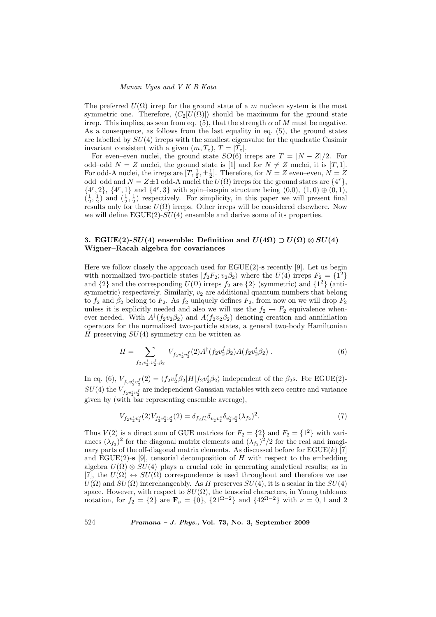#### Manan Vyas and V K B Kota

The preferred  $U(\Omega)$  irrep for the ground state of a m nucleon system is the most symmetric one. Therefore,  $\langle C_2[U(\Omega)]\rangle$  should be maximum for the ground state irrep. This implies, as seen from eq. (5), that the strength  $\alpha$  of M must be negative. As a consequence, as follows from the last equality in eq. (5), the ground states are labelled by  $SU(4)$  irreps with the smallest eigenvalue for the quadratic Casimir invariant consistent with a given  $(m, T_z), T = |T_z|$ .

For even–even nuclei, the ground state  $SO(6)$  irreps are  $T = |N - Z|/2$ . For odd–odd  $N = Z$  nuclei, the ground state is [1] and for  $N \neq Z$  nuclei, it is [T, 1]. For odd-A nuclei, the irreps are  $[T, \frac{1}{2}, \pm \frac{1}{2}]$ . Therefore, for  $N = Z$  even–even,  $N = Z$ odd–odd and  $N = Z \pm 1$  odd-A nuclei the  $U(\Omega)$  irreps for the ground states are  $\{4^r\},$  $\{4^r, 2\}, \{4^r, 1\}$  and  $\{4^r, 3\}$  with spin–isospin structure being  $(0,0), (1,0) \oplus (0,1),$  $(\frac{1}{2}, \frac{1}{2})$  and  $(\frac{1}{2}, \frac{1}{2})$  respectively. For simplicity, in this paper we will present final results only for these  $U(\Omega)$  irreps. Other irreps will be considered elsewhere. Now we will define  $EGUE(2)-SU(4)$  ensemble and derive some of its properties.

# 3. EGUE(2)- $SU(4)$  ensemble: Definition and  $U(4\Omega) \supset U(\Omega) \otimes SU(4)$ Wigner–Racah algebra for covariances

Here we follow closely the approach used for  $EGUE(2)$ -s recently [9]. Let us begin with normalized two-particle states  $|f_2F_2; v_2\beta_2\rangle$  where the  $U(4)$  irreps  $F_2 = \{1^2\}$ and  $\{2\}$  and the corresponding  $U(\Omega)$  irreps  $f_2$  are  $\{2\}$  (symmetric) and  $\{1^2\}$  (antisymmetric) respectively. Similarly,  $v_2$  are additional quantum numbers that belong to  $f_2$  and  $\beta_2$  belong to  $F_2$ . As  $f_2$  uniquely defines  $F_2$ , from now on we will drop  $F_2$ unless it is explicitly needed and also we will use the  $f_2 \leftrightarrow F_2$  equivalence whenever needed. With  $A^{\dagger}(f_2v_2\beta_2)$  and  $A(f_2v_2\beta_2)$  denoting creation and annihilation operators for the normalized two-particle states, a general two-body Hamiltonian H preserving  $SU(4)$  symmetry can be written as

$$
H = \sum_{f_2, v_2^i, v_2^f, \beta_2} V_{f_2 v_2^i v_2^f}(2) A^{\dagger} (f_2 v_2^f \beta_2) A(f_2 v_2^i \beta_2) . \tag{6}
$$

In eq. (6),  $V_{f_2v_2^i v_2^f}(2) = \langle f_2v_2^f \beta_2 | H | f_2v_2^i \beta_2 \rangle$  independent of the  $\beta_2$ s. For EGUE(2)- $SU(4)$  the  $V_{f_2v_2^iv_2^f}$  are independent Gaussian variables with zero centre and variance given by (with bar representing ensemble average),

$$
\overline{V_{f_2v_2^1v_2^2}(2)V_{f'_2v_2^3v_2^4}(2)} = \delta_{f_2f'_2}\delta_{v_2^1v_2^4}\delta_{v_2^2v_2^3}(\lambda_{f_2})^2. \tag{7}
$$

Thus  $V(2)$  is a direct sum of GUE matrices for  $F_2 = \{2\}$  and  $F_2 = \{1^2\}$  with variances  $(\lambda_{f_2})^2$  for the diagonal matrix elements and  $(\lambda_{f_2})^2/2$  for the real and imaginary parts of the off-diagonal matrix elements. As discussed before for  $EGUE(k)$  [7] and EGUE(2)-s [9], tensorial decomposition of H with respect to the embedding algebra  $U(\Omega) \otimes SU(4)$  plays a crucial role in generating analytical results; as in [7], the  $U(\Omega) \leftrightarrow SU(\Omega)$  correspondence is used throughout and therefore we use  $U(\Omega)$  and  $SU(\Omega)$  interchangeably. As H preserves  $SU(4)$ , it is a scalar in the  $SU(4)$ space. However, with respect to  $SU(\Omega)$ , the tensorial characters, in Young tableaux notation, for  $f_2 = \{2\}$  are  $\mathbf{F}_{\nu} = \{0\}$ ,  $\{21^{\Omega-2}\}\$  and  $\{42^{\Omega-2}\}\$  with  $\nu = 0, 1$  and 2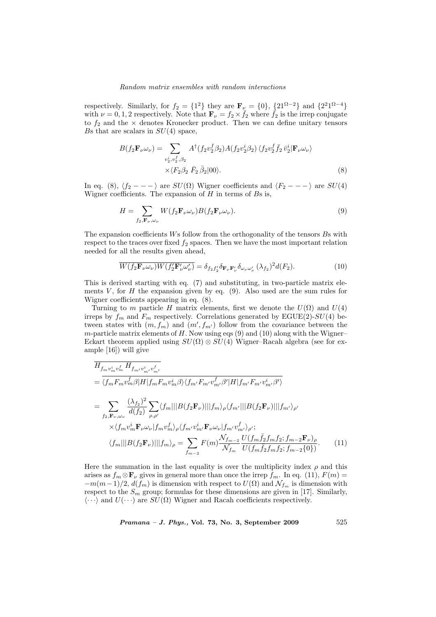respectively. Similarly, for  $f_2 = \{1^2\}$  they are  $\mathbf{F}_{\nu} = \{0\}$ ,  $\{21^{\Omega-2}\}$  and  $\{2^21^{\Omega-4}\}$ with  $\nu = 0, 1, 2$  respectively. Note that  $\mathbf{F}_{\nu} = f_2 \times \bar{f}_2$  where  $\bar{f}_2$  is the irrep conjugate to  $f_2$  and the  $\times$  denotes Kronecker product. Then we can define unitary tensors Bs that are scalars in  $SU(4)$  space,

$$
B(f_2 \mathbf{F}_{\nu} \omega_{\nu}) = \sum_{\substack{v_2^i, v_2^f, \beta_2}} A^{\dagger} (f_2 v_2^f \beta_2) A(f_2 v_2^i \beta_2) \langle f_2 v_2^f \bar{f}_2 \bar{v}_2^i | \mathbf{F}_{\nu} \omega_{\nu} \rangle
$$
  
 
$$
\times \langle F_2 \beta_2 \bar{F}_2 \bar{\beta}_2 | 00 \rangle.
$$
 (8)

In eq. (8),  $\langle f_2 - - - \rangle$  are  $SU(\Omega)$  Wigner coefficients and  $\langle F_2 - - - \rangle$  are  $SU(4)$ Wigner coefficients. The expansion of  $H$  in terms of  $Bs$  is,

$$
H = \sum_{f_2, \mathbf{F}_{\nu}, \omega_{\nu}} W(f_2 \mathbf{F}_{\nu} \omega_{\nu}) B(f_2 \mathbf{F}_{\nu} \omega_{\nu}).
$$
\n(9)

The expansion coefficients Ws follow from the orthogonality of the tensors Bs with respect to the traces over fixed  $f_2$  spaces. Then we have the most important relation needed for all the results given ahead,

$$
\overline{W(f_2\mathbf{F}_{\nu}\omega_{\nu})W(f_2'\mathbf{F}'_{\nu}\omega'_{\nu})} = \delta_{f_2f_2'}\delta_{\mathbf{F}_{\nu}\mathbf{F}'_{\nu}}\delta_{\omega_{\nu}\omega'_{\nu}}(\lambda_{f_2})^2d(F_2).
$$
\n(10)

This is derived starting with eq. (7) and substituting, in two-particle matrix elements  $V$ , for  $H$  the expansion given by eq. (9). Also used are the sum rules for Wigner coefficients appearing in eq. (8).

Turning to m particle H matrix elements, first we denote the  $U(\Omega)$  and  $U(4)$ irreps by  $f_m$  and  $F_m$  respectively. Correlations generated by EGUE(2)-SU(4) between states with  $(m, f_m)$  and  $(m', f_{m'})$  follow from the covariance between the  $m$ -particle matrix elements of  $H$ . Now using eqs (9) and (10) along with the Wigner– Eckart theorem applied using  $SU(\Omega) \otimes SU(4)$  Wigner–Racah algebra (see for example [16]) will give

$$
\overline{H_{f_m v_m^i v_m^f} H_{f_{m'} v_{m'}^i v_{m'}^f}}
$$
\n
$$
= \overline{\langle f_m F_m v_m^f \beta | H | f_m F_m v_m^i \beta \rangle \langle f_m F_m v_m^f \beta' | H | f_{m'} F_{m'} v_{m'}^i \beta' \rangle}
$$
\n
$$
= \sum_{f_2, \mathbf{F}_{\nu}, \omega_{\nu}} \frac{(\lambda_{f_2})^2}{d(f_2)} \sum_{\rho, \rho'} \langle f_m || | B(f_2 \mathbf{F}_{\nu}) || | f_m \rangle_{\rho} \langle f_{m'} || | B(f_2 \mathbf{F}_{\nu}) || | f_{m'} \rangle_{\rho'}
$$
\n
$$
\times \langle f_m v_m^i \mathbf{F}_{\nu} \omega_{\nu} | f_m v_m^f \rangle_{\rho} \langle f_{m'} v_m^i \mathbf{F}_{\nu} \omega_{\nu} | f_{m'} v_{m'}^f \rangle_{\rho'};
$$
\n
$$
\langle f_m || | B(f_2 \mathbf{F}_{\nu}) || | f_m \rangle_{\rho} = \sum_{f_{m-2}} F(m) \frac{\mathcal{N}_{f_{m-2}}}{\mathcal{N}_{f_m}} \frac{U(f_m \bar{f}_2 f_m f_2; f_{m-2} \mathbf{F}_{\nu})_{\rho}}{U(f_m \bar{f}_2 f_m f_2; f_{m-2} \{0\})}.
$$
\n(11)

Here the summation in the last equality is over the multiplicity index  $\rho$  and this arises as  $f_m \otimes \mathbf{F}_{\nu}$  gives in general more than once the irrep  $f_m$ . In eq. (11),  $F(m) =$  $-m(m-1)/2$ ,  $d(f_m)$  is dimension with respect to  $U(\Omega)$  and  $\mathcal{N}_{f_m}$  is dimension with respect to the  $S_m$  group; formulas for these dimensions are given in [17]. Similarly,  $\langle \cdots \rangle$  and  $U(\cdots)$  are  $SU(\Omega)$  Wigner and Racah coefficients respectively.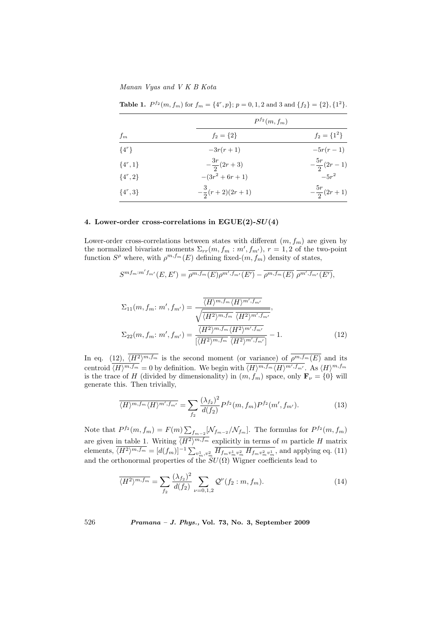Manan Vyas and V K B Kota

|              | $P^{f_2}(m, f_m)$         |                       |
|--------------|---------------------------|-----------------------|
| $f_m$        | $f_2 = \{2\}$             | $f_2 = \{1^2\}$       |
| $\{4^r\}$    | $-3r(r+1)$                | $-5r(r-1)$            |
| $\{4^r, 1\}$ | $-\frac{3r}{2}(2r+3)$     | $-\frac{5r}{2}(2r-1)$ |
| $\{4^r, 2\}$ | $-(3r^2+6r+1)$            | $-5r^2$               |
| $\{4^r,3\}$  | $-\frac{3}{2}(r+2)(2r+1)$ | $-\frac{5r}{2}(2r+1)$ |

**Table 1.**  $P^{f_2}(m, f_m)$  for  $f_m = \{4^r, p\}; p = 0, 1, 2 \text{ and } 3 \text{ and } \{f_2\} = \{2\}, \{1^2\}.$ 

# 4. Lower-order cross-correlations in  $EGUE(2)-SU(4)$

Lower-order cross-correlations between states with different  $(m, f_m)$  are given by the normalized bivariate moments  $\Sigma_{rr}(m, f_m : m', f_{m'})$ ,  $r = 1, 2$  of the two-point function  $S^{\rho}$  where, with  $\rho^{m,f_m}(E)$  defining fixed- $(m, f_m)$  density of states,

$$
S^{m f_m : m' f_{m'}}(E, E') = \overline{\rho^{m, f_m}(E) \rho^{m', f_{m'}}(E')} - \overline{\rho^{m, f_m}(E)} \ \overline{\rho^{m', f_{m'}}(E')},
$$

$$
\Sigma_{11}(m, f_m; m', f_{m'}) = \frac{\overline{\langle H \rangle^{m, f_m} \langle H \rangle^{m', f_{m'}}}}{\sqrt{\overline{\langle H^2 \rangle^{m, f_m}}} \ \overline{\langle H^2 \rangle^{m', f_{m'}}}},
$$
\n
$$
\Sigma_{22}(m, f_m; m', f_{m'}) = \frac{\overline{\langle H^2 \rangle^{m, f_m} \langle H^2 \rangle^{m', f_{m'}}}}{\overline{\langle H^2 \rangle^{m, f_m}}} \frac{\overline{\langle H^2 \rangle^{m', f_{m'}}}}{\overline{\langle H^2 \rangle^{m', f_{m'}}}} - 1.
$$
\n(12)

In eq. (12),  $\overline{\langle H^2\rangle^{m,f_m}}$  is the second moment (or variance) of  $\rho^{m,f_m}(E)$  and its centroid  $\overline{\langle H\rangle^{m,f_m}} = 0$  by definition. We begin with  $\overline{\langle H\rangle^{m,f_m}\langle H\rangle^{m',f_{m'}}}$ . As  $\langle H\rangle^{m,f_m}$ is the trace of H (divided by dimensionality) in  $(m, f_m)$  space, only  $\mathbf{F}_{\nu} = \{0\}$  will generate this. Then trivially,

$$
\overline{\langle H \rangle^{m, f_m} \langle H \rangle^{m', f_{m'}}} = \sum_{f_2} \frac{(\lambda_{f_2})^2}{d(f_2)} P^{f_2}(m, f_m) P^{f_2}(m', f_{m'}).
$$
(13)

Note that  $P^{f_2}(m, f_m) = F(m) \sum$  $\int_{f_{m-2}} \left[ \mathcal{N}_{f_{m-2}} / \mathcal{N}_{f_m} \right]$ . The formulas for  $P^{f_2}(m, f_m)$ are given in table 1. Writing  $\langle H^2 \rangle^{m,f_m}$  explicitly in terms of m particle H matrix elements,  $\overline{\langle H^2 \rangle^{m,f_m}} = [d(f_m)]^{-1} \sum_{v_m^1, v_m^2} \overline{H_{f_m v_m^1 v_m^2} H_{f_m v_m^2 v_m^1}}$ , and applying eq. (11) and the orthonormal properties of the  $SU(\Omega)$  Wigner coefficients lead to

$$
\overline{\langle H^2 \rangle^{m,f_m}} = \sum_{f_2} \frac{(\lambda_{f_2})^2}{d(f_2)} \sum_{\nu=0,1,2} \mathcal{Q}^{\nu}(f_2:m,f_m). \tag{14}
$$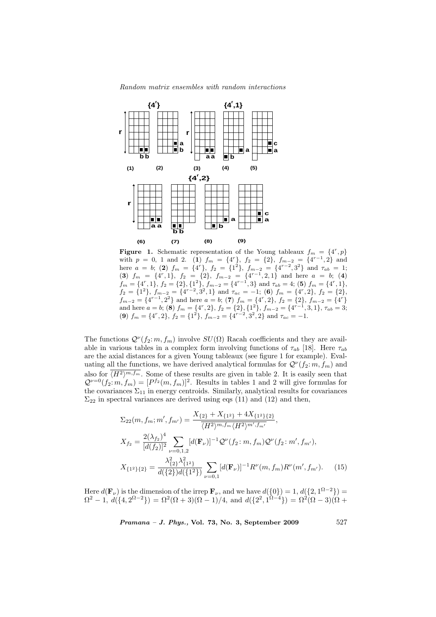

Figure 1. Schematic representation of the Young tableaux  $f_m = \{4^r, p\}$ with  $p = 0$ , 1 and 2. (1)  $f_m = \{4^r\}$ ,  $f_2 = \{2\}$ ,  $f_{m-2} = \{4^{r-1}, 2\}$  and here  $a = b$ ; (2)  $f_m = \{4^r\}$ ,  $f_2 = \{1^2\}$ ,  $f_{m-2} = \{4^{r-2}, 3^2\}$  and  $\tau_{ab} = 1$ ; (3)  $f_m = \{4^r, 1\}, f_2 = \{2\}, f_{m-2} = \{4^{r-1}, 2, 1\}$  and here  $a = b$ ; (4)  $f_m = \{4^r, 1\}, f_2 = \{2\}, \{1^2\}, f_{m-2} = \{4^{r-1}, 3\}$  and  $\tau_{ab} = 4$ ; (5)  $f_m = \{4^r, 1\},$  $f_2 = \{1^2\}, f_{m-2} = \{4^{r-2}, 3^2, 1\}$  and  $\tau_{ac} = -1$ ; (6)  $f_m = \{4^r, 2\}, f_2 = \{2\},$  $f_{m-2} = \{4^{r-1}, 2^2\}$  and here  $a = b$ ; (7)  $f_m = \{4^r, 2\}$ ,  $f_2 = \{2\}$ ,  $f_{m-2} = \{4^r\}$ and here  $a = b$ ; (8)  $f_m = \{4^r, 2\}$ ,  $f_2 = \{2\}$ ,  $\{1^2\}$ ,  $f_{m-2} = \{4^{r-1}, 3, 1\}$ ,  $\tau_{ab} = 3$ ; (9)  $f_m = \{4^r, 2\}, f_2 = \{1^2\}, f_{m-2} = \{4^{r-2}, 3^2, 2\}$  and  $\tau_{ac} = -1$ .

The functions  $\mathcal{Q}^{\nu}(f_2; m, f_m)$  involve  $SU(\Omega)$  Racah coefficients and they are available in various tables in a complex form involving functions of  $\tau_{ab}$  [18]. Here  $\tau_{ab}$ are the axial distances for a given Young tableaux (see figure 1 for example). Evaluating all the functions, we have derived analytical formulas for  $\mathcal{Q}^{\nu}(f_2: m, f_m)$  and also for  $\overline{\langle H^2 \rangle^{m,f_m}}$ . Some of these results are given in table 2. It is easily seen that  $\mathcal{Q}^{\nu=0}(f_2;m,f_m)=[P^{f_2}(m,f_m)]^2$ . Results in tables 1 and 2 will give formulas for the covariances  $\Sigma_{11}$  in energy centroids. Similarly, analytical results for covariances  $\Sigma_{22}$  in spectral variances are derived using eqs (11) and (12) and then,

$$
\Sigma_{22}(m, f_m; m', f_{m'}) = \frac{X_{\{2\}} + X_{\{1^2\}} + 4X_{\{1^2\}\{2\}}}{\langle H^2 \rangle^{m, f_m} \langle H^2 \rangle^{m', f_{m'}}},
$$
\n
$$
X_{f_2} = \frac{2(\lambda_{f_2})^4}{[d(f_2)]^2} \sum_{\nu=0,1,2} [d(\mathbf{F}_{\nu})]^{-1} \mathcal{Q}^{\nu}(f_2; m, f_m) \mathcal{Q}^{\nu}(f_2; m', f_{m'}),
$$
\n
$$
X_{\{1^2\}\{2\}} = \frac{\lambda_{\{2\}}^2 \lambda_{\{1^2\}}^2}{d(\{2\})d(\{1^2\})} \sum_{\nu=0,1} [d(\mathbf{F}_{\nu})]^{-1} R^{\nu}(m, f_m) R^{\nu}(m', f_{m'}).
$$
\n(15)

Here  $d(\mathbf{F}_{\nu})$  is the dimension of the irrep  $\mathbf{F}_{\nu}$ , and we have  $d({0}) = 1, d({2, 1^{\Omega-2}}) =$  $\Omega^2 - 1, d({1, 2^{\Omega-2}}) = \Omega^2(\Omega+3)(\Omega-1)/4$ , and  $d({2^2, 1^{\Omega-4}}) = \Omega^2(\Omega-3)(\Omega+1)/4$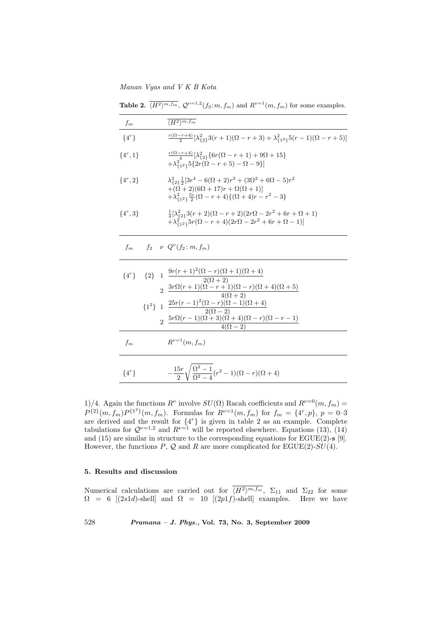Manan Vyas and V K B Kota

**Table 2.**  $\overline{\langle H^2 \rangle^{m,f_m}}$ ,  $\mathcal{Q}^{\nu=1,2}(f_2: m, f_m)$  and  $R^{\nu=1}(m, f_m)$  for some examples.

| $f_m$        |  | $\overline{\langle H^2 \rangle^{m,f_m}}$                                                                                                                                                                                     |
|--------------|--|------------------------------------------------------------------------------------------------------------------------------------------------------------------------------------------------------------------------------|
| $\{4^r\}$    |  | $\frac{r(\Omega-r+4)}{2}[\lambda_{\{2\}}^2 3(r+1)(\Omega-r+3)+\lambda_{\{1^2\}}^2 5(r-1)(\Omega-r+5)]$                                                                                                                       |
| $\{4^r, 1\}$ |  | $\frac{r(\Omega-r+4)}{4}[\lambda_{12}^2 \{6r(\Omega-r+1)+9\Omega+15\}$<br>$+\lambda_{\{1^2\}}^2 5\{2r(\Omega-r+5)-\Omega-9\}$                                                                                                |
| $\{4^r, 2\}$ |  | $\lambda_{\{2\}}^2 \frac{1}{2} [3r^4 - 6(\Omega + 2)r^3 + (3\Omega^2 + 6\Omega - 5)r^2$<br>$+(\Omega+2)(6\Omega+17)r+\Omega(\Omega+1)]$<br>$+\lambda_{11}^2 \frac{5r}{2}(\Omega-r+4)(\Omega+4)r-r^2-3$                       |
| $\{4^r,3\}$  |  | $\frac{1}{4}[\lambda_{\{2\}}^2 3(r+2)(\Omega-r+2)(2r\Omega-2r^2+6r+\Omega+1)]$<br>$+\lambda_{11}^2 5r(\Omega-r+4)(2r\Omega-2r^2+6r+\Omega-1)$                                                                                |
| $f_m$        |  | $f_2 \nu Q^{\nu}(f_2; m, f_m)$                                                                                                                                                                                               |
|              |  | ${4^r}$ ${2}$ ${1 \frac{9r(r+1)^2(\Omega-r)(\Omega+1)(\Omega+4)}{2(r-1)}}$<br>$2 \frac{2(\Omega+2)}{r^2}$<br>$2 \frac{3r\Omega(r+1)(\Omega-r+1)(\Omega-r)(\Omega+4)(\Omega+5)}{r^2}$                                         |
|              |  | $4(\Omega+2)$<br>${1^2}$ 1 $\frac{25r(r-1)^2(\Omega-r)(\Omega-1)(\Omega+4)}{2(\Omega-2)}$<br>$\frac{2 \frac{5r\Omega(r-1)(\Omega\overset{.}{+} 3)(\Omega\overset{.}{+} 4)(\Omega-r)(\Omega-r-1)}{4(\Omega-2)}}{4(\Omega-2)}$ |
| $f_m$        |  | $R^{\nu=1}(m, f_m)$                                                                                                                                                                                                          |
| $\{4^r\}$    |  | $-\frac{15r}{2}\sqrt{\frac{\Omega^2-1}{\Omega^2-4}(r^2-1)(\Omega-r)(\Omega+4)}$                                                                                                                                              |

1)/4. Again the functions  $R^{\nu}$  involve  $SU(\Omega)$  Racah coefficients and  $R^{\nu=0}(m, f_m)$  =  $P^{\{2\}}(m, f_m)P^{\{1^2\}}(m, f_m)$ . Formulas for  $R^{\nu=1}(m, f_m)$  for  $f_m = \{4^r, p\}$ ,  $p = 0$ -3 are derived and the result for  $\{4^r\}$  is given in table 2 as an example. Complete tabulations for  $\mathcal{Q}^{\nu=1,2}$  and  $R^{\nu=1}$  will be reported elsewhere. Equations (13), (14) and (15) are similar in structure to the corresponding equations for  $EGUE(2)$ -s [9]. However, the functions  $P$ ,  $Q$  and  $R$  are more complicated for EGUE(2)-SU(4).

# 5. Results and discussion

Numerical calculations are carried out for  $\langle H^2 \rangle^{m,f_m}$ ,  $\Sigma_{11}$  and  $\Sigma_{22}$  for some  $\Omega = 6$  [(2s1d)-shell] and  $\Omega = 10$  [(2p1f)-shell] examples. Here we have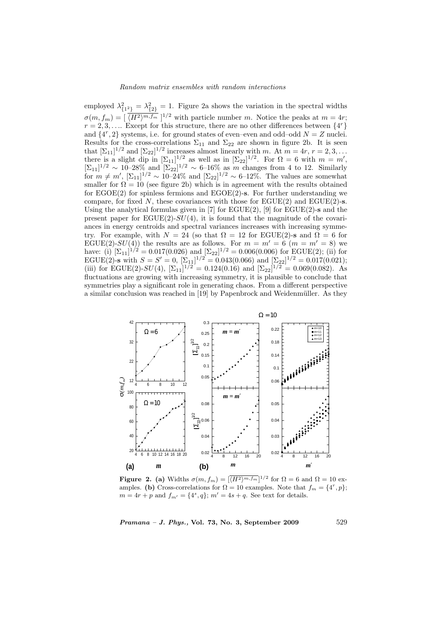employed  $\lambda_{\{1^2\}}^2 = \lambda_{\{2\}}^2 = 1$ . Figure 2a shows the variation in the spectral widths  $\sigma(m, f_m) = \left[\sqrt{(H^2)^{m}, f_m}\right]^{1/2}$  with particle number m. Notice the peaks at  $m = 4r$ ;  $r = 2, 3, \ldots$  Except for this structure, there are no other differences between  $\{4^r\}$ and  $\{4^r, 2\}$  systems, i.e. for ground states of even–even and odd–odd  $N = Z$  nuclei. Results for the cross-correlations  $\Sigma_{11}$  and  $\Sigma_{22}$  are shown in figure 2b. It is seen that  $[\Sigma_{11}]^{1/2}$  and  $[\Sigma_{22}]^{1/2}$  increases almost linearly with m. At  $m = 4r$ ,  $r = 2, 3, ...$ there is a slight dip in  $[\Sigma_{11}]^{1/2}$  as well as in  $[\Sigma_{22}]^{1/2}$ . For  $\Omega = 6$  with  $m = m'$ ,  $[\Sigma_{11}]^{1/2} \sim 10^{-28}$ % and  $[\Sigma_{22}]^{1/2} \sim 6^{-16}$ % as m changes from 4 to 12. Similarly for  $m \neq m'$ ,  $[\Sigma_{11}]^{1/2} \sim 10^{-24}$ % and  $[\Sigma_{22}]^{1/2} \sim 6^{-12}$ %. The values are somewhat smaller for  $\Omega = 10$  (see figure 2b) which is in agreement with the results obtained for  $EGOE(2)$  for spinless fermions and  $EGOE(2)$ -s. For further understanding we compare, for fixed N, these covariances with those for  $EGUE(2)$  and  $EGUE(2)$ -s. Using the analytical formulas given in  $[7]$  for  $\mathrm{EGUE}(2)$ ,  $[9]$  for  $\mathrm{EGUE}(2)$ -s and the present paper for  $EGUE(2)-SU(4)$ , it is found that the magnitude of the covariances in energy centroids and spectral variances increases with increasing symmetry. For example, with  $N = 24$  (so that  $\Omega = 12$  for EGUE(2)-s and  $\Omega = 6$  for EGUE(2)- $SU(4)$ ) the results are as follows. For  $m = m' = 6$   $(m = m' = 8)$  we have: (i)  $[\Sigma_{11}]^{1/2} = 0.017(0.026)$  and  $[\Sigma_{22}]^{1/2} = 0.006(0.006)$  for EGUE(2); (ii) for EGUE(2)-s with  $S = S' = 0$ ,  $[\Sigma_{11}]^{1/2} = 0.043(0.066)$  and  $[\Sigma_{22}]^{1/2} = 0.017(0.021)$ ; (iii) for EGUE(2)- $SU(4)$ ,  $[\Sigma_{11}]^{1/2} = 0.124(0.16)$  and  $[\Sigma_{22}]^{1/2} = 0.069(0.082)$ . As fluctuations are growing with increasing symmetry, it is plausible to conclude that symmetries play a significant role in generating chaos. From a different perspective a similar conclusion was reached in [19] by Papenbrock and Weidenmüller. As they



**Figure 2.** (a) Widths  $\sigma(m, f_m) = \left[\overline{\langle H^2 \rangle^{m, f_m}}\right]^{1/2}$  for  $\Omega = 6$  and  $\Omega = 10$  examples. (b) Cross-correlations for  $\Omega = 10$  examples. Note that  $f_m = \{4^r, p\};$  $m = 4r + p$  and  $f_{m'} = \{4^s, q\}; m' = 4s + q$ . See text for details.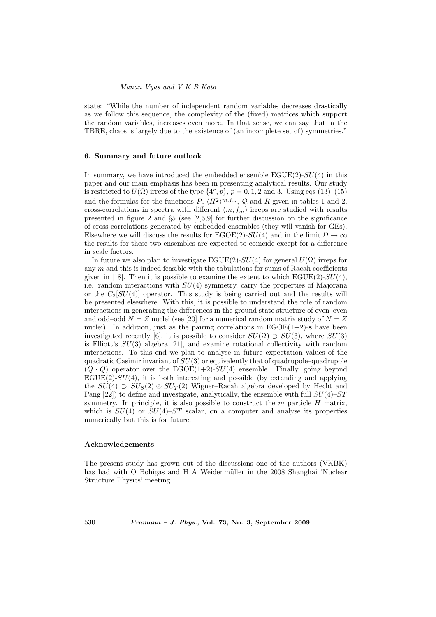state: "While the number of independent random variables decreases drastically as we follow this sequence, the complexity of the (fixed) matrices which support the random variables, increases even more. In that sense, we can say that in the TBRE, chaos is largely due to the existence of (an incomplete set of) symmetries."

#### 6. Summary and future outlook

In summary, we have introduced the embedded ensemble  $EGUE(2)-SU(4)$  in this paper and our main emphasis has been in presenting analytical results. Our study is restricted to  $U(\Omega)$  irreps of the type  $\{4^r, p\}$ ,  $p = 0, 1, 2$  and 3. Using eqs (13)–(15) and the formulas for the functions  $P, \langle H^2 \rangle^{m,f_m}, \mathcal{Q}$  and R given in tables 1 and 2, cross-correlations in spectra with different  $(m, f_m)$  irreps are studied with results presented in figure 2 and  $\S5$  (see [2,5,9] for further discussion on the significance of cross-correlations generated by embedded ensembles (they will vanish for GEs). Elsewhere we will discuss the results for EGOE(2)- $SU(4)$  and in the limit  $\Omega \rightarrow \infty$ the results for these two ensembles are expected to coincide except for a difference in scale factors.

In future we also plan to investigate EGUE(2)- $SU(4)$  for general  $U(\Omega)$  irreps for any  $m$  and this is indeed feasible with the tabulations for sums of Racah coefficients given in [18]. Then it is possible to examine the extent to which  $EGUE(2)$ - $SU(4)$ , i.e. random interactions with  $SU(4)$  symmetry, carry the properties of Majorana or the  $C_2[SU(4)]$  operator. This study is being carried out and the results will be presented elsewhere. With this, it is possible to understand the role of random interactions in generating the differences in the ground state structure of even–even and odd–odd  $N = Z$  nuclei (see [20] for a numerical random matrix study of  $N = Z$ nuclei). In addition, just as the pairing correlations in  $EGOE(1+2)$ -s have been investigated recently [6], it is possible to consider  $SU(\Omega) \supset SU(3)$ , where  $SU(3)$ is Elliott's  $SU(3)$  algebra [21], and examine rotational collectivity with random interactions. To this end we plan to analyse in future expectation values of the quadratic Casimir invariant of  $SU(3)$  or equivalently that of quadrupole–quadrupole  $(Q \cdot Q)$  operator over the EGOE(1+2)-SU(4) ensemble. Finally, going beyond  $EGUE(2)-SU(4)$ , it is both interesting and possible (by extending and applying the  $SU(4) \supset SU_5(2) \otimes SU_T(2)$  Wigner–Racah algebra developed by Hecht and Pang  $[22]$ ) to define and investigate, analytically, the ensemble with full  $SU(4)$ – $ST$ symmetry. In principle, it is also possible to construct the  $m$  particle  $H$  matrix, which is  $SU(4)$  or  $SU(4)$ – $ST$  scalar, on a computer and analyse its properties numerically but this is for future.

## Acknowledgements

The present study has grown out of the discussions one of the authors (VKBK) has had with O Bohigas and H A Weidenmüller in the 2008 Shanghai 'Nuclear Structure Physics' meeting.